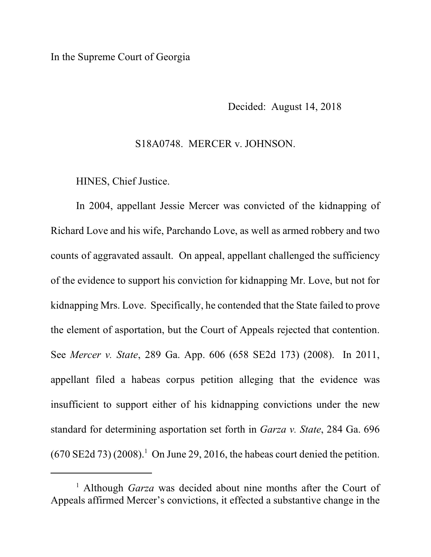## In the Supreme Court of Georgia

Decided: August 14, 2018

## S18A0748. MERCER v. JOHNSON.

HINES, Chief Justice.

In 2004, appellant Jessie Mercer was convicted of the kidnapping of Richard Love and his wife, Parchando Love, as well as armed robbery and two counts of aggravated assault. On appeal, appellant challenged the sufficiency of the evidence to support his conviction for kidnapping Mr. Love, but not for kidnapping Mrs. Love. Specifically, he contended that the State failed to prove the element of asportation, but the Court of Appeals rejected that contention. See *Mercer v. State*, 289 Ga. App. 606 (658 SE2d 173) (2008). In 2011, appellant filed a habeas corpus petition alleging that the evidence was insufficient to support either of his kidnapping convictions under the new standard for determining asportation set forth in *Garza v. State*, 284 Ga. 696  $(670 \text{ SE2d } 73)$  (2008).<sup>1</sup> On June 29, 2016, the habeas court denied the petition.

<sup>&</sup>lt;sup>1</sup> Although *Garza* was decided about nine months after the Court of Appeals affirmed Mercer's convictions, it effected a substantive change in the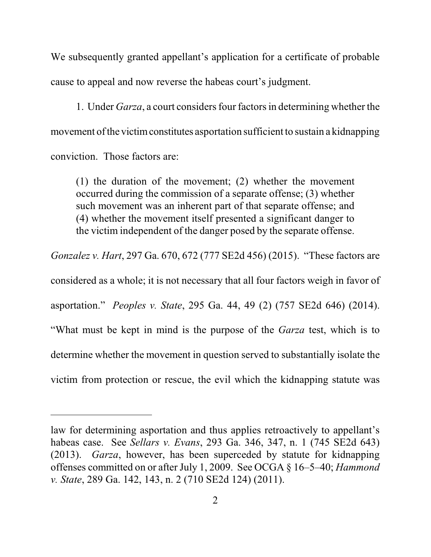We subsequently granted appellant's application for a certificate of probable cause to appeal and now reverse the habeas court's judgment.

1. Under *Garza*, a court considers four factors in determining whether the movement of the victim constitutes asportation sufficient to sustain a kidnapping conviction. Those factors are:

(1) the duration of the movement; (2) whether the movement occurred during the commission of a separate offense; (3) whether such movement was an inherent part of that separate offense; and (4) whether the movement itself presented a significant danger to the victim independent of the danger posed by the separate offense.

*Gonzalez v. Hart*, 297 Ga. 670, 672 (777 SE2d 456) (2015). "These factors are

considered as a whole; it is not necessary that all four factors weigh in favor of asportation." *Peoples v. State*, 295 Ga. 44, 49 (2) (757 SE2d 646) (2014). "What must be kept in mind is the purpose of the *Garza* test, which is to determine whether the movement in question served to substantially isolate the victim from protection or rescue, the evil which the kidnapping statute was

law for determining asportation and thus applies retroactively to appellant's habeas case. See *Sellars v. Evans*, 293 Ga. 346, 347, n. 1 (745 SE2d 643) (2013). *Garza*, however, has been superceded by statute for kidnapping offenses committed on or after July 1, 2009. See OCGA § 16–5–40; *Hammond v. State*, 289 Ga. 142, 143, n. 2 (710 SE2d 124) (2011).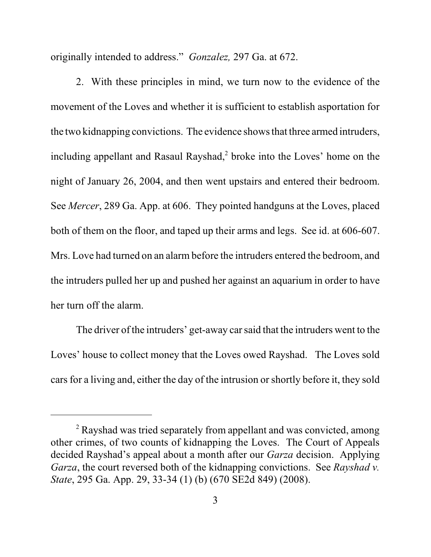originally intended to address." *Gonzalez,* 297 Ga. at 672.

2. With these principles in mind, we turn now to the evidence of the movement of the Loves and whether it is sufficient to establish asportation for the two kidnapping convictions. The evidence shows that three armed intruders, including appellant and Rasaul Rayshad, 2 broke into the Loves' home on the night of January 26, 2004, and then went upstairs and entered their bedroom. See *Mercer*, 289 Ga. App. at 606. They pointed handguns at the Loves, placed both of them on the floor, and taped up their arms and legs. See id. at 606-607. Mrs. Love had turned on an alarm before the intruders entered the bedroom, and the intruders pulled her up and pushed her against an aquarium in order to have her turn off the alarm.

The driver of the intruders' get-away car said that the intruders went to the Loves' house to collect money that the Loves owed Rayshad. The Loves sold cars for a living and, either the day of the intrusion or shortly before it, they sold

<sup>&</sup>lt;sup>2</sup> Rayshad was tried separately from appellant and was convicted, among other crimes, of two counts of kidnapping the Loves. The Court of Appeals decided Rayshad's appeal about a month after our *Garza* decision. Applying *Garza*, the court reversed both of the kidnapping convictions. See *Rayshad v. State*, 295 Ga. App. 29, 33-34 (1) (b) (670 SE2d 849) (2008).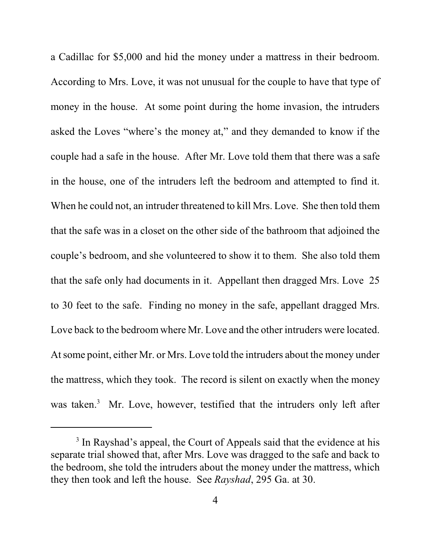a Cadillac for \$5,000 and hid the money under a mattress in their bedroom. According to Mrs. Love, it was not unusual for the couple to have that type of money in the house. At some point during the home invasion, the intruders asked the Loves "where's the money at," and they demanded to know if the couple had a safe in the house. After Mr. Love told them that there was a safe in the house, one of the intruders left the bedroom and attempted to find it. When he could not, an intruder threatened to kill Mrs. Love. She then told them that the safe was in a closet on the other side of the bathroom that adjoined the couple's bedroom, and she volunteered to show it to them. She also told them that the safe only had documents in it. Appellant then dragged Mrs. Love 25 to 30 feet to the safe. Finding no money in the safe, appellant dragged Mrs. Love back to the bedroom where Mr. Love and the other intruders were located. At some point, either Mr. or Mrs. Love told the intruders about the money under the mattress, which they took. The record is silent on exactly when the money was taken.<sup>3</sup> Mr. Love, however, testified that the intruders only left after

<sup>&</sup>lt;sup>3</sup> In Rayshad's appeal, the Court of Appeals said that the evidence at his separate trial showed that, after Mrs. Love was dragged to the safe and back to the bedroom, she told the intruders about the money under the mattress, which they then took and left the house. See *Rayshad*, 295 Ga. at 30.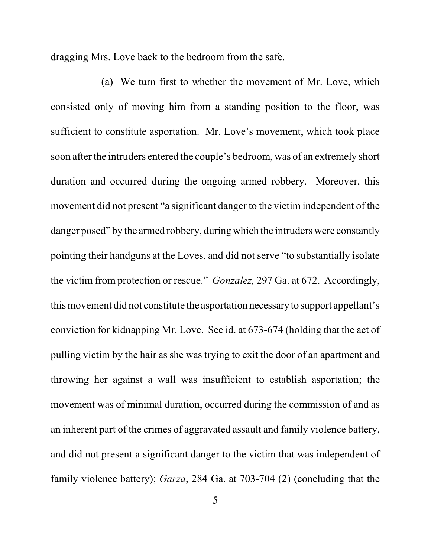dragging Mrs. Love back to the bedroom from the safe.

(a) We turn first to whether the movement of Mr. Love, which consisted only of moving him from a standing position to the floor, was sufficient to constitute asportation. Mr. Love's movement, which took place soon after the intruders entered the couple's bedroom, was of an extremely short duration and occurred during the ongoing armed robbery. Moreover, this movement did not present "a significant danger to the victim independent of the danger posed" by the armed robbery, during which the intruders were constantly pointing their handguns at the Loves, and did not serve "to substantially isolate the victim from protection or rescue." *Gonzalez,* 297 Ga. at 672. Accordingly, this movement did not constitute the asportation necessaryto support appellant's conviction for kidnapping Mr. Love. See id. at 673-674 (holding that the act of pulling victim by the hair as she was trying to exit the door of an apartment and throwing her against a wall was insufficient to establish asportation; the movement was of minimal duration, occurred during the commission of and as an inherent part of the crimes of aggravated assault and family violence battery, and did not present a significant danger to the victim that was independent of family violence battery); *Garza*, 284 Ga. at 703-704 (2) (concluding that the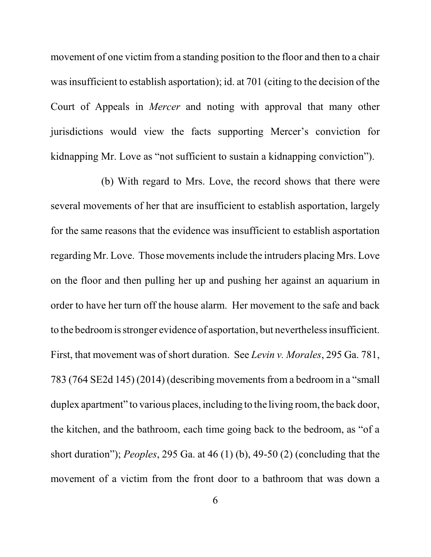movement of one victim from a standing position to the floor and then to a chair was insufficient to establish asportation); id. at 701 (citing to the decision of the Court of Appeals in *Mercer* and noting with approval that many other jurisdictions would view the facts supporting Mercer's conviction for kidnapping Mr. Love as "not sufficient to sustain a kidnapping conviction").

(b) With regard to Mrs. Love, the record shows that there were several movements of her that are insufficient to establish asportation, largely for the same reasons that the evidence was insufficient to establish asportation regarding Mr. Love. Those movements include the intruders placing Mrs. Love on the floor and then pulling her up and pushing her against an aquarium in order to have her turn off the house alarm. Her movement to the safe and back to the bedroomis stronger evidence of asportation, but nevertheless insufficient. First, that movement was of short duration. See *Levin v. Morales*, 295 Ga. 781, 783 (764 SE2d 145) (2014) (describing movements from a bedroom in a "small duplex apartment" to various places, including to the living room, the back door, the kitchen, and the bathroom, each time going back to the bedroom, as "of a short duration"); *Peoples*, 295 Ga. at 46 (1) (b), 49-50 (2) (concluding that the movement of a victim from the front door to a bathroom that was down a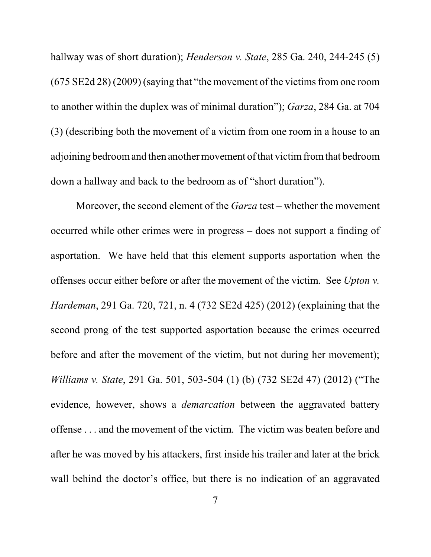hallway was of short duration); *Henderson v. State*, 285 Ga. 240, 244-245 (5) (675 SE2d 28) (2009) (saying that "the movement of the victims from one room to another within the duplex was of minimal duration"); *Garza*, 284 Ga. at 704 (3) (describing both the movement of a victim from one room in a house to an adjoining bedroomand then another movement of that victimfromthat bedroom down a hallway and back to the bedroom as of "short duration").

Moreover, the second element of the *Garza* test – whether the movement occurred while other crimes were in progress – does not support a finding of asportation. We have held that this element supports asportation when the offenses occur either before or after the movement of the victim. See *Upton v. Hardeman*, 291 Ga. 720, 721, n. 4 (732 SE2d 425) (2012) (explaining that the second prong of the test supported asportation because the crimes occurred before and after the movement of the victim, but not during her movement); *Williams v. State*, 291 Ga. 501, 503-504 (1) (b) (732 SE2d 47) (2012) ("The evidence, however, shows a *demarcation* between the aggravated battery offense . . . and the movement of the victim. The victim was beaten before and after he was moved by his attackers, first inside his trailer and later at the brick wall behind the doctor's office, but there is no indication of an aggravated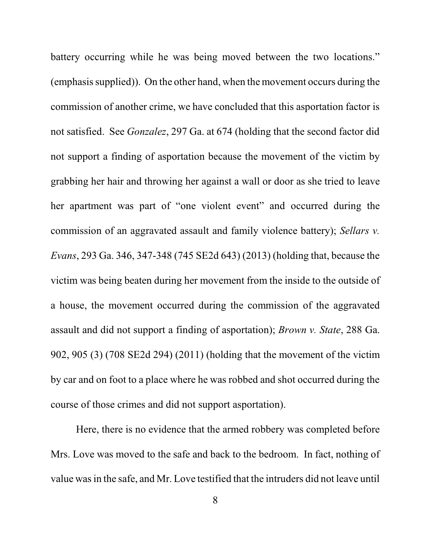battery occurring while he was being moved between the two locations." (emphasis supplied)). On the other hand, when the movement occurs during the commission of another crime, we have concluded that this asportation factor is not satisfied. See *Gonzalez*, 297 Ga. at 674 (holding that the second factor did not support a finding of asportation because the movement of the victim by grabbing her hair and throwing her against a wall or door as she tried to leave her apartment was part of "one violent event" and occurred during the commission of an aggravated assault and family violence battery); *Sellars v. Evans*, 293 Ga. 346, 347-348 (745 SE2d 643) (2013) (holding that, because the victim was being beaten during her movement from the inside to the outside of a house, the movement occurred during the commission of the aggravated assault and did not support a finding of asportation); *Brown v. State*, 288 Ga. 902, 905 (3) (708 SE2d 294) (2011) (holding that the movement of the victim by car and on foot to a place where he was robbed and shot occurred during the course of those crimes and did not support asportation).

Here, there is no evidence that the armed robbery was completed before Mrs. Love was moved to the safe and back to the bedroom. In fact, nothing of value was in the safe, and Mr. Love testified that the intruders did not leave until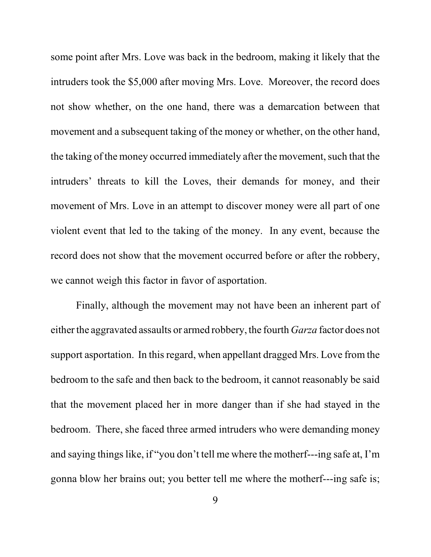some point after Mrs. Love was back in the bedroom, making it likely that the intruders took the \$5,000 after moving Mrs. Love. Moreover, the record does not show whether, on the one hand, there was a demarcation between that movement and a subsequent taking of the money or whether, on the other hand, the taking of the money occurred immediately after the movement, such that the intruders' threats to kill the Loves, their demands for money, and their movement of Mrs. Love in an attempt to discover money were all part of one violent event that led to the taking of the money. In any event, because the record does not show that the movement occurred before or after the robbery, we cannot weigh this factor in favor of asportation.

Finally, although the movement may not have been an inherent part of either the aggravated assaults or armed robbery, the fourth *Garza* factor does not support asportation. In this regard, when appellant dragged Mrs. Love from the bedroom to the safe and then back to the bedroom, it cannot reasonably be said that the movement placed her in more danger than if she had stayed in the bedroom. There, she faced three armed intruders who were demanding money and saying things like, if "you don't tell me where the motherf---ing safe at, I'm gonna blow her brains out; you better tell me where the motherf---ing safe is;